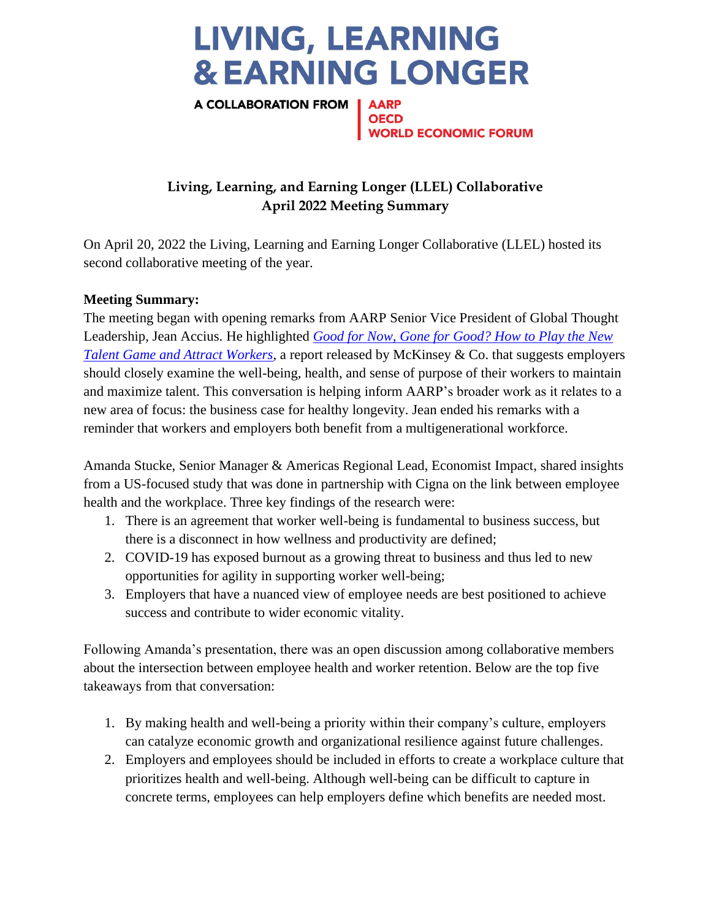## **LIVING, LEARNING & EARNING LONGER**

A COLLABORATION FROM | AARP **WORLD ECONOMIC FORUM** 

## **Living, Learning, and Earning Longer (LLEL) Collaborative April 2022 Meeting Summary**

On April 20, 2022 the Living, Learning and Earning Longer Collaborative (LLEL) hosted its second collaborative meeting of the year.

## **Meeting Summary:**

The meeting began with opening remarks from AARP Senior Vice President of Global Thought Leadership, Jean Accius. He highlighted *[Good for Now, Gone for Good? How to Play the New](https://www.mckinsey.com/business-functions/people-and-organizational-performance/our-insights/gone-for-now-or-gone-for-good-how-to-play-the-new-talent-game-and-win-back-workers)  Talent Game and Attract Workers*, a report released by McKinsey & Co. that suggests employers should closely examine the well-being, health, and sense of purpose of their workers to maintain and maximize talent. This conversation is helping inform AARP's broader work as it relates to a new area of focus: the business case for healthy longevity. Jean ended his remarks with a reminder that workers and employers both benefit from a multigenerational workforce.

Amanda Stucke, Senior Manager & Americas Regional Lead, Economist Impact, shared insights from a US-focused study that was done in partnership with Cigna on the link between employee health and the workplace. Three key findings of the research were:

- 1. There is an agreement that worker well-being is fundamental to business success, but there is a disconnect in how wellness and productivity are defined;
- 2. COVID-19 has exposed burnout as a growing threat to business and thus led to new opportunities for agility in supporting worker well-being;
- 3. Employers that have a nuanced view of employee needs are best positioned to achieve success and contribute to wider economic vitality.

Following Amanda's presentation, there was an open discussion among collaborative members about the intersection between employee health and worker retention. Below are the top five takeaways from that conversation:

- 1. By making health and well-being a priority within their company's culture, employers can catalyze economic growth and organizational resilience against future challenges.
- 2. Employers and employees should be included in efforts to create a workplace culture that prioritizes health and well-being. Although well-being can be difficult to capture in concrete terms, employees can help employers define which benefits are needed most.